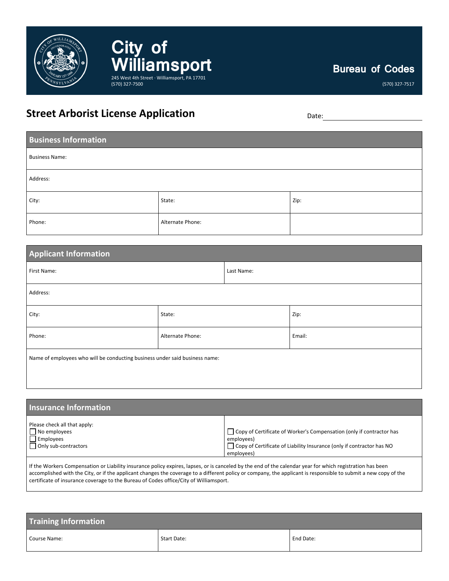

## **Bureau of Codes**

(570) 327-7517

## **Street Arborist License Application** Date: Date:

**City of** 

(570) 327-7500

WilliamSport

| <b>Business Information</b> |                  |      |
|-----------------------------|------------------|------|
| <b>Business Name:</b>       |                  |      |
| Address:                    |                  |      |
| City:                       | State:           | Zip: |
| Phone:                      | Alternate Phone: |      |

| <b>Applicant Information</b>                                                |                  |            |        |
|-----------------------------------------------------------------------------|------------------|------------|--------|
| First Name:                                                                 |                  | Last Name: |        |
| Address:                                                                    |                  |            |        |
| City:                                                                       | State:           |            | Zip:   |
| Phone:                                                                      | Alternate Phone: |            | Email: |
| Name of employees who will be conducting business under said business name: |                  |            |        |

| Insurance Information        |                                                                              |
|------------------------------|------------------------------------------------------------------------------|
| Please check all that apply: | □ Copy of Certificate of Worker's Compensation (only if contractor has       |
| $\Box$ No employees          | employees)                                                                   |
| $\Box$ Employees             | $\Box$ Copy of Certificate of Liability Insurance (only if contractor has NO |
| $\Box$ Only sub-contractors  | employees)                                                                   |

If the Workers Compensation or Liability insurance policy expires, lapses, or is canceled by the end of the calendar year for which registration has been accomplished with the City, or if the applicant changes the coverage to a different policy or company, the applicant is responsible to submit a new copy of the certificate of insurance coverage to the Bureau of Codes office/City of Williamsport.

| <b>Training Information</b> |                    |           |
|-----------------------------|--------------------|-----------|
| Course Name:                | <b>Start Date:</b> | End Date: |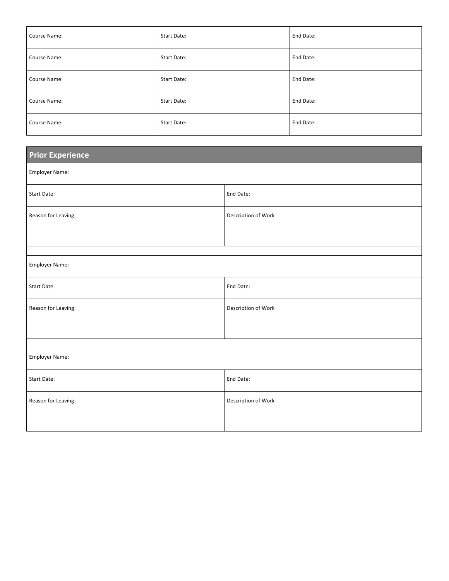| Course Name: | Start Date: | End Date: |
|--------------|-------------|-----------|
| Course Name: | Start Date: | End Date: |
| Course Name: | Start Date: | End Date: |
| Course Name: | Start Date: | End Date: |
| Course Name: | Start Date: | End Date: |

| <b>Prior Experience</b> |                     |  |
|-------------------------|---------------------|--|
| Employer Name:          |                     |  |
| Start Date:             | End Date:           |  |
| Reason for Leaving:     | Description of Work |  |
|                         |                     |  |
|                         |                     |  |
| Employer Name:          |                     |  |
| Start Date:             | End Date:           |  |
| Reason for Leaving:     | Description of Work |  |
|                         |                     |  |
|                         |                     |  |
| Employer Name:          |                     |  |
| Start Date:             | End Date:           |  |
| Reason for Leaving:     | Description of Work |  |
|                         |                     |  |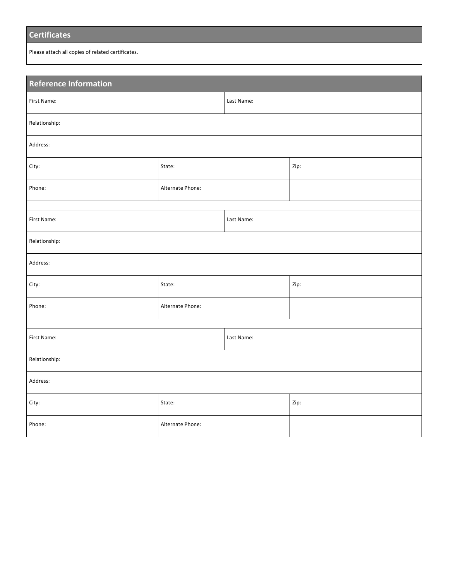## **Certificates**

Please attach all copies of related certificates.

| Reference Information |                  |            |      |  |
|-----------------------|------------------|------------|------|--|
| First Name:           |                  | Last Name: |      |  |
| Relationship:         |                  |            |      |  |
| Address:              |                  |            |      |  |
| City:                 | State:           |            | Zip: |  |
| Phone:                | Alternate Phone: |            |      |  |
|                       |                  |            |      |  |
| First Name:           |                  | Last Name: |      |  |
| Relationship:         |                  |            |      |  |
| Address:              |                  |            |      |  |
| City:                 | State:           |            | Zip: |  |
| Phone:                | Alternate Phone: |            |      |  |
|                       |                  |            |      |  |
| First Name:           |                  | Last Name: |      |  |
| Relationship:         |                  |            |      |  |
| Address:              |                  |            |      |  |
| City:                 | State:           |            | Zip: |  |
| Phone:                | Alternate Phone: |            |      |  |